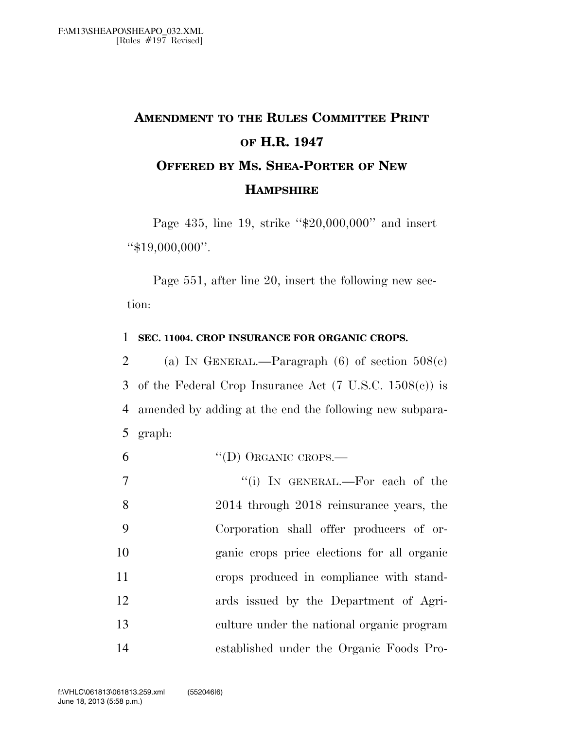## **AMENDMENT TO THE RULES COMMITTEE PRINT OF H.R. 1947 OFFERED BY MS. SHEA-PORTER OF NEW HAMPSHIRE**

Page 435, line 19, strike "\$20,000,000" and insert ''\$19,000,000''.

Page 551, after line 20, insert the following new section:

## 1 **SEC. 11004. CROP INSURANCE FOR ORGANIC CROPS.**

2 (a) IN GENERAL.—Paragraph (6) of section  $508(c)$ 3 of the Federal Crop Insurance Act (7 U.S.C. 1508(c)) is 4 amended by adding at the end the following new subpara-5 graph:

6 "(D) ORGANIC CROPS.—

7 "(i) IN GENERAL.—For each of the 2014 through 2018 reinsurance years, the Corporation shall offer producers of or- ganic crops price elections for all organic crops produced in compliance with stand- ards issued by the Department of Agri- culture under the national organic program established under the Organic Foods Pro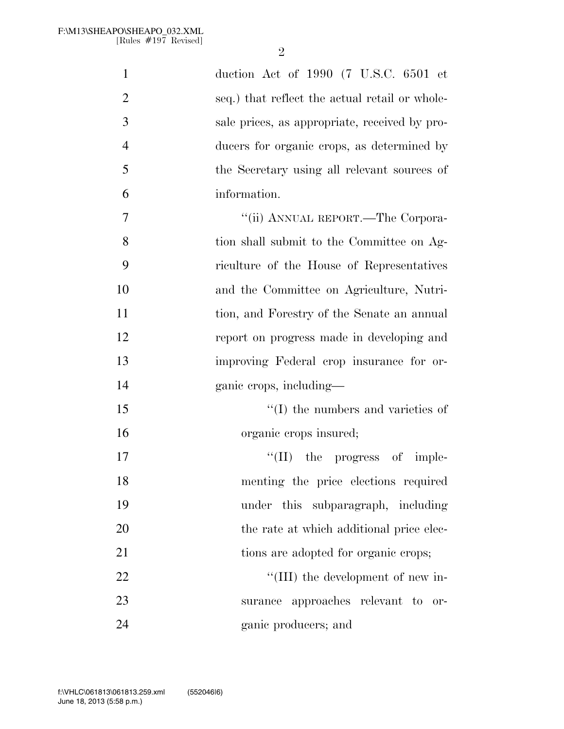| $\mathbf{1}$   | duction Act of 1990 (7 U.S.C. 6501 et          |
|----------------|------------------------------------------------|
| $\overline{2}$ | seq.) that reflect the actual retail or whole- |
| 3              | sale prices, as appropriate, received by pro-  |
| $\overline{4}$ | ducers for organic crops, as determined by     |
| 5              | the Secretary using all relevant sources of    |
| 6              | information.                                   |
| 7              | "(ii) ANNUAL REPORT.—The Corpora-              |
| 8              | tion shall submit to the Committee on Ag-      |
| 9              | riculture of the House of Representatives      |
| 10             | and the Committee on Agriculture, Nutri-       |
| 11             | tion, and Forestry of the Senate an annual     |
| 12             | report on progress made in developing and      |
| 13             | improving Federal crop insurance for or-       |
| 14             | ganic crops, including—                        |
| 15             | $\lq\lq$ (I) the numbers and varieties of      |
| 16             | organic crops insured;                         |
| 17             | $\lq\lq$ (II) the progress of imple-           |
| 18             | menting the price elections required           |
| 19             | under this subparagraph, including             |
| 20             | the rate at which additional price elec-       |
| 21             | tions are adopted for organic crops;           |
| 22             | "(III) the development of new in-              |
| 23             | surance approaches relevant to or-             |
| 24             | ganic producers; and                           |